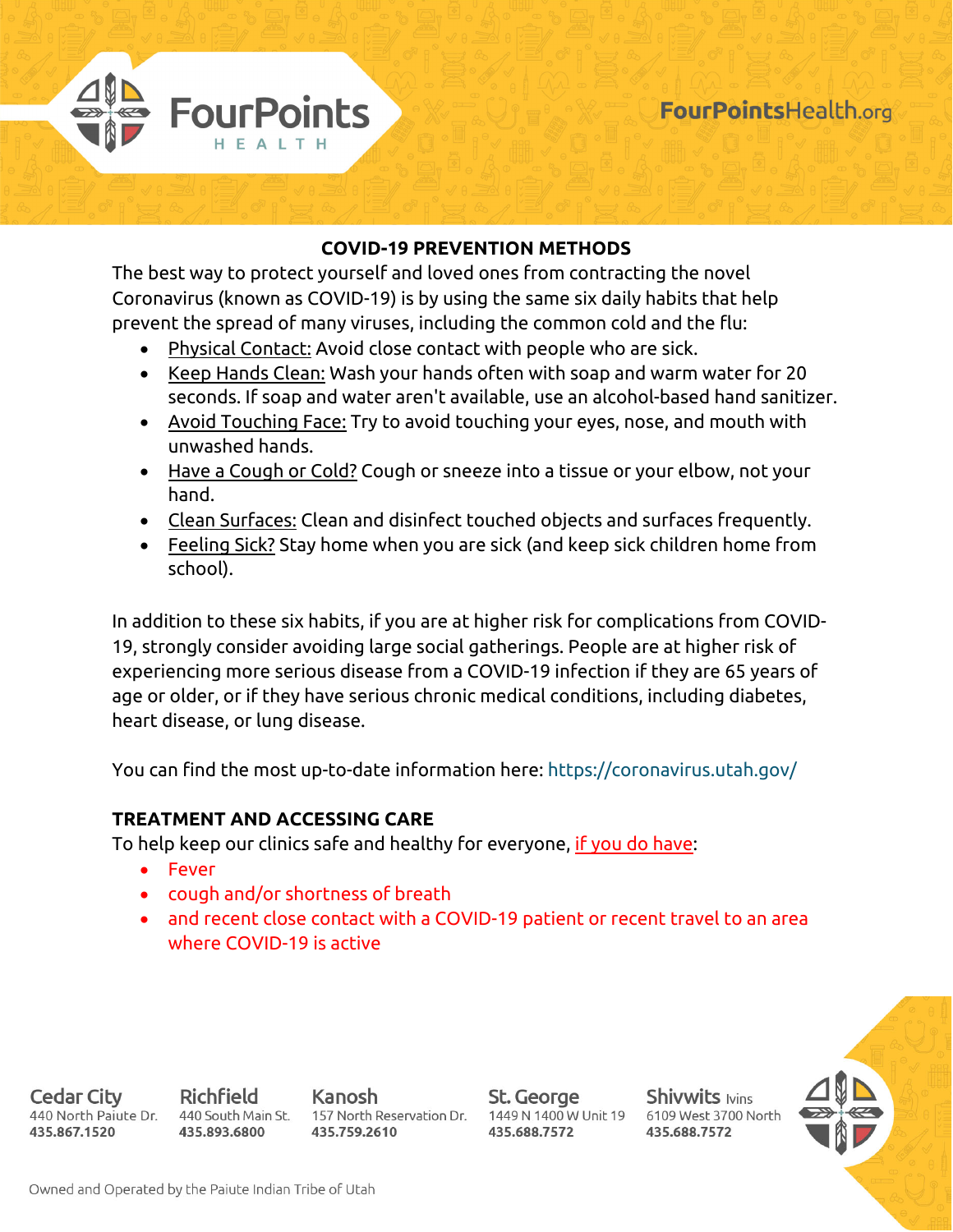

## **COVID-19 PREVENTION METHODS**

The best way to protect yourself and loved ones from contracting the novel Coronavirus (known as COVID-19) is by using the same six daily habits that help prevent the spread of many viruses, including the common cold and the flu:

- Physical Contact: Avoid close contact with people who are sick.
- Keep Hands Clean: Wash your hands often with soap and warm water for 20 seconds. If soap and water aren't available, use an alcohol-based hand sanitizer.
- Avoid Touching Face: Try to avoid touching your eyes, nose, and mouth with unwashed hands.
- Have a Cough or Cold? Cough or sneeze into a tissue or your elbow, not your hand.
- Clean Surfaces: Clean and disinfect touched objects and surfaces frequently.
- Feeling Sick? Stay home when you are sick (and keep sick children home from school).

In addition to these six habits, if you are at higher risk for complications from COVID-19, strongly consider avoiding large social gatherings. People are at higher risk of experiencing more serious disease from a COVID-19 infection if they are 65 years of age or older, or if they have serious chronic medical conditions, including diabetes, heart disease, or lung disease.

You can find the most up-to-date information here: https://coronavirus.utah.gov/

## **TREATMENT AND ACCESSING CARE**

To help keep our clinics safe and healthy for everyone, if you do have:

- Fever
- cough and/or shortness of breath
- and recent close contact with a COVID-19 patient or recent travel to an area where COVID-19 is active



Cedar City 440 North Paiute Dr. 435.867.1520

**Richfield** 440 South Main St. 435.893.6800

Kanosh 157 North Reservation Dr. 435.759.2610

St. George 1449 N 1400 W Unit 19 435.688.7572

**Shivwits lvins** 6109 West 3700 North 435.688.7572